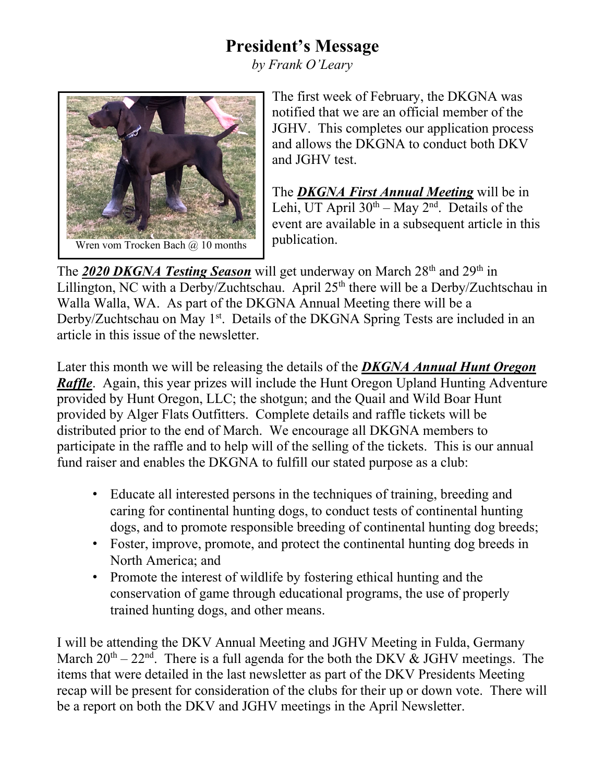## **President's Message**

*by Frank O'Leary*



The first week of February, the DKGNA was notified that we are an official member of the JGHV. This completes our application process and allows the DKGNA to conduct both DKV and JGHV test.

The *DKGNA First Annual Meeting* will be in Lehi, UT April  $30^{th}$  – May  $2^{nd}$ . Details of the event are available in a subsequent article in this publication.

The **2020 DKGNA Testing Season** will get underway on March 28<sup>th</sup> and 29<sup>th</sup> in Lillington, NC with a Derby/Zuchtschau. April 25<sup>th</sup> there will be a Derby/Zuchtschau in Walla Walla, WA. As part of the DKGNA Annual Meeting there will be a Derby/Zuchtschau on May 1<sup>st</sup>. Details of the DKGNA Spring Tests are included in an article in this issue of the newsletter.

Later this month we will be releasing the details of the *DKGNA Annual Hunt Oregon Raffle*. Again, this year prizes will include the Hunt Oregon Upland Hunting Adventure provided by Hunt Oregon, LLC; the shotgun; and the Quail and Wild Boar Hunt provided by Alger Flats Outfitters. Complete details and raffle tickets will be distributed prior to the end of March. We encourage all DKGNA members to participate in the raffle and to help will of the selling of the tickets. This is our annual fund raiser and enables the DKGNA to fulfill our stated purpose as a club:

- Educate all interested persons in the techniques of training, breeding and caring for continental hunting dogs, to conduct tests of continental hunting dogs, and to promote responsible breeding of continental hunting dog breeds;
- Foster, improve, promote, and protect the continental hunting dog breeds in North America; and
- Promote the interest of wildlife by fostering ethical hunting and the conservation of game through educational programs, the use of properly trained hunting dogs, and other means.

I will be attending the DKV Annual Meeting and JGHV Meeting in Fulda, Germany March  $20<sup>th</sup> - 22<sup>nd</sup>$ . There is a full agenda for the both the DKV & JGHV meetings. The items that were detailed in the last newsletter as part of the DKV Presidents Meeting recap will be present for consideration of the clubs for their up or down vote. There will be a report on both the DKV and JGHV meetings in the April Newsletter.